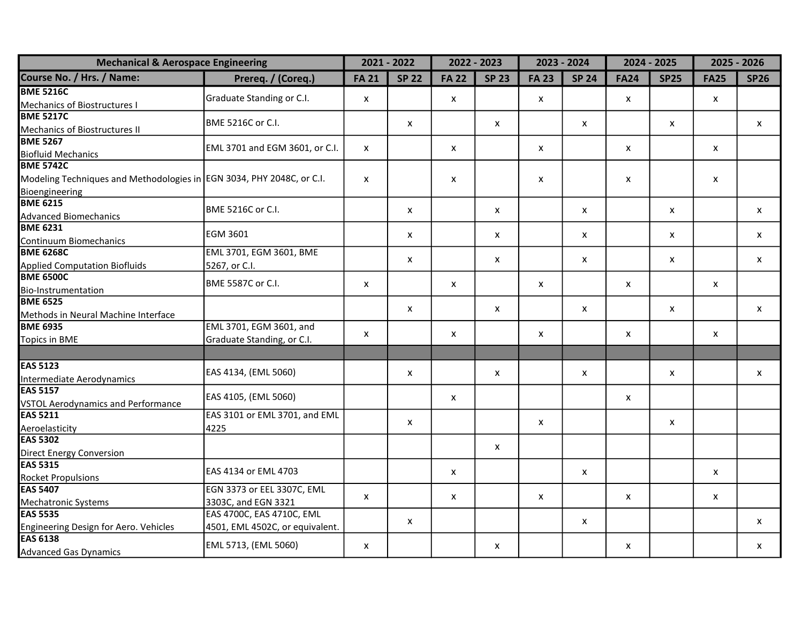| <b>Mechanical &amp; Aerospace Engineering</b>                         |                                 |              | $2021 - 2022$             |              | 2022 - 2023  | 2023 - 2024               |              |                           | 2024 - 2025               |                           | 2025 - 2026               |
|-----------------------------------------------------------------------|---------------------------------|--------------|---------------------------|--------------|--------------|---------------------------|--------------|---------------------------|---------------------------|---------------------------|---------------------------|
| Course No. / Hrs. / Name:                                             | Prereq. / (Coreq.)              | <b>FA 21</b> | <b>SP 22</b>              | <b>FA 22</b> | <b>SP 23</b> | <b>FA 23</b>              | <b>SP 24</b> | <b>FA24</b>               | <b>SP25</b>               | <b>FA25</b>               | <b>SP26</b>               |
| <b>BME 5216C</b>                                                      | Graduate Standing or C.I.       |              |                           |              |              |                           |              |                           |                           |                           |                           |
| Mechanics of Biostructures I                                          |                                 | X            |                           | X            |              | x                         |              | X                         |                           | $\mathsf{x}$              |                           |
| <b>BME 5217C</b>                                                      | BME 5216C or C.I.               |              |                           |              |              |                           |              |                           |                           |                           |                           |
| Mechanics of Biostructures II<br>BME 5267                             |                                 |              | $\boldsymbol{\mathsf{x}}$ |              | x            |                           | X            |                           | X                         |                           | $\boldsymbol{\mathsf{x}}$ |
|                                                                       | EML 3701 and EGM 3601, or C.I.  | $\mathsf{x}$ |                           | $\mathsf{x}$ |              | $\mathsf{x}$              |              | $\mathsf{x}$              |                           | $\mathsf{x}$              |                           |
| <b>Biofluid Mechanics</b>                                             |                                 |              |                           |              |              |                           |              |                           |                           |                           |                           |
| <b>BME 5742C</b>                                                      |                                 |              |                           |              |              |                           |              |                           |                           |                           |                           |
| Modeling Techniques and Methodologies in EGN 3034, PHY 2048C, or C.I. |                                 | x            |                           | X            |              | X                         |              | X                         |                           | $\boldsymbol{\mathsf{x}}$ |                           |
| Bioengineering                                                        |                                 |              |                           |              |              |                           |              |                           |                           |                           |                           |
| <b>BME 6215</b>                                                       | BME 5216C or C.I.               |              | X                         |              | X            |                           | $\mathsf{x}$ |                           | $\boldsymbol{\mathsf{x}}$ |                           | $\mathsf{x}$              |
| <b>Advanced Biomechanics</b>                                          |                                 |              |                           |              |              |                           |              |                           |                           |                           |                           |
| <b>BME 6231</b>                                                       | <b>EGM 3601</b>                 |              | X                         |              | X            |                           | $\mathsf{x}$ |                           | X                         |                           | $\mathsf{x}$              |
| Continuum Biomechanics                                                |                                 |              |                           |              |              |                           |              |                           |                           |                           |                           |
| <b>BME 6268C</b>                                                      | EML 3701, EGM 3601, BME         |              | X                         |              | X            |                           | X            |                           | X                         |                           | $\boldsymbol{\mathsf{x}}$ |
| <b>Applied Computation Biofluids</b>                                  | 5267, or C.I.                   |              |                           |              |              |                           |              |                           |                           |                           |                           |
| <b>BME 6500C</b>                                                      | BME 5587C or C.I.               | X            |                           | X            |              | X                         |              | X                         |                           | $\boldsymbol{\mathsf{x}}$ |                           |
| Bio-Instrumentation<br>BME 6525                                       |                                 |              |                           |              |              |                           |              |                           |                           |                           |                           |
|                                                                       |                                 |              | X                         |              | X            |                           | X            |                           | X                         |                           | X                         |
| Methods in Neural Machine Interface                                   |                                 |              |                           |              |              |                           |              |                           |                           |                           |                           |
| <b>BME 6935</b>                                                       | EML 3701, EGM 3601, and         | X            |                           | x            |              | X                         |              | X                         |                           | $\pmb{\mathsf{X}}$        |                           |
| <b>Topics in BME</b>                                                  | Graduate Standing, or C.I.      |              |                           |              |              |                           |              |                           |                           |                           |                           |
|                                                                       |                                 |              |                           |              |              |                           |              |                           |                           |                           |                           |
| <b>EAS 5123</b>                                                       | EAS 4134, (EML 5060)            |              |                           |              |              |                           |              |                           |                           |                           |                           |
| Intermediate Aerodynamics                                             |                                 |              | x                         |              | x            |                           | X            |                           | X                         |                           | $\mathsf{x}$              |
| <b>EAS 5157</b>                                                       | EAS 4105, (EML 5060)            |              |                           | $\mathsf{x}$ |              |                           |              | $\mathsf{x}$              |                           |                           |                           |
| <b>VSTOL Aerodynamics and Performance</b>                             |                                 |              |                           |              |              |                           |              |                           |                           |                           |                           |
| <b>EAS 5211</b>                                                       | EAS 3101 or EML 3701, and EML   |              | x                         |              |              | $\boldsymbol{\mathsf{x}}$ |              |                           |                           |                           |                           |
| Aeroelasticity                                                        | 4225                            |              |                           |              |              |                           |              |                           | X                         |                           |                           |
| <b>EAS 5302</b>                                                       |                                 |              |                           |              | $\mathsf{x}$ |                           |              |                           |                           |                           |                           |
| <b>Direct Energy Conversion</b>                                       |                                 |              |                           |              |              |                           |              |                           |                           |                           |                           |
| <b>EAS 5315</b>                                                       | EAS 4134 or EML 4703            |              |                           | $\mathsf{x}$ |              |                           | X            |                           |                           | $\boldsymbol{\mathsf{x}}$ |                           |
| <b>Rocket Propulsions</b>                                             |                                 |              |                           |              |              |                           |              |                           |                           |                           |                           |
| <b>EAS 5407</b>                                                       | EGN 3373 or EEL 3307C, EML      | $\mathsf{x}$ |                           | $\mathsf{x}$ |              | $\boldsymbol{\mathsf{x}}$ |              | $\boldsymbol{\mathsf{x}}$ |                           | $\pmb{\mathsf{X}}$        |                           |
| Mechatronic Systems                                                   | 3303C, and EGN 3321             |              |                           |              |              |                           |              |                           |                           |                           |                           |
| <b>EAS 5535</b>                                                       | EAS 4700C, EAS 4710C, EML       |              | X                         |              |              |                           | X            |                           |                           |                           | X                         |
| Engineering Design for Aero. Vehicles                                 | 4501, EML 4502C, or equivalent. |              |                           |              |              |                           |              |                           |                           |                           |                           |
| <b>EAS 6138</b>                                                       | EML 5713, (EML 5060)            | X            |                           |              | X            |                           |              | X                         |                           |                           | X                         |
| <b>Advanced Gas Dynamics</b>                                          |                                 |              |                           |              |              |                           |              |                           |                           |                           |                           |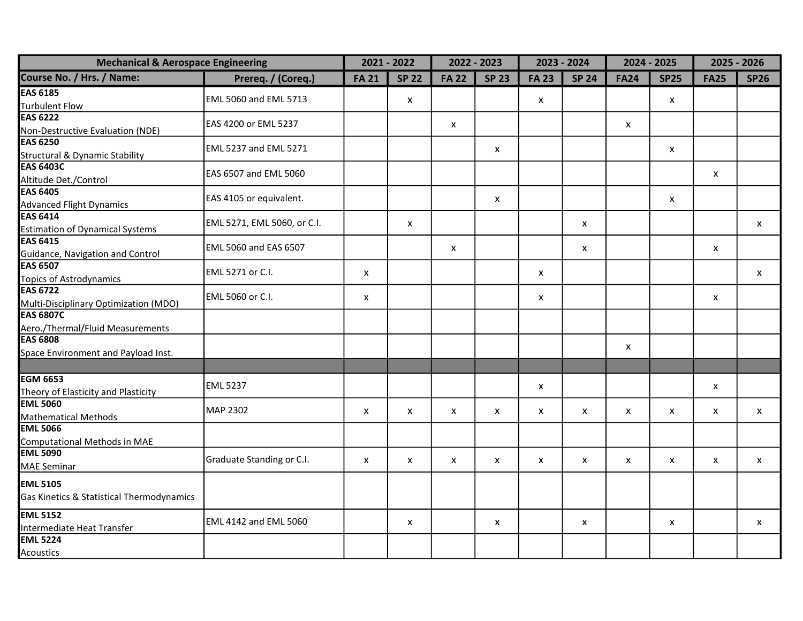| <b>Mechanical &amp; Aerospace Engineering</b>       |                              |              | $2021 - 2022$             |              | 2022 - 2023  | 2023 - 2024  |                           |                           | $2024 - 2025$ | $2025 - 2026$ |              |
|-----------------------------------------------------|------------------------------|--------------|---------------------------|--------------|--------------|--------------|---------------------------|---------------------------|---------------|---------------|--------------|
| Course No. / Hrs. / Name:                           | Prereq. / (Coreq.)           | <b>FA 21</b> | <b>SP 22</b>              | <b>FA 22</b> | <b>SP 23</b> | <b>FA 23</b> | <b>SP 24</b>              | <b>FA24</b>               | <b>SP25</b>   | <b>FA25</b>   | <b>SP26</b>  |
| <b>EAS 6185</b>                                     |                              |              |                           |              |              |              |                           |                           |               |               |              |
| <b>Turbulent Flow</b>                               | <b>EML 5060 and EML 5713</b> |              | X                         |              |              | $\mathsf{x}$ |                           |                           | X             |               |              |
| <b>EAS 6222</b>                                     | EAS 4200 or EML 5237         |              |                           |              |              |              |                           |                           |               |               |              |
| Non-Destructive Evaluation (NDE)                    |                              |              |                           | X            |              |              |                           | $\boldsymbol{\mathsf{x}}$ |               |               |              |
| <b>EAS 6250</b>                                     | EML 5237 and EML 5271        |              |                           |              | X            |              |                           |                           | X             |               |              |
| Structural & Dynamic Stability                      |                              |              |                           |              |              |              |                           |                           |               |               |              |
| <b>EAS 6403C</b>                                    | EAS 6507 and EML 5060        |              |                           |              |              |              |                           |                           |               | x             |              |
| Altitude Det./Control                               |                              |              |                           |              |              |              |                           |                           |               |               |              |
| <b>EAS 6405</b>                                     | EAS 4105 or equivalent.      |              |                           |              | X            |              |                           |                           | X             |               |              |
| <b>Advanced Flight Dynamics</b>                     |                              |              |                           |              |              |              |                           |                           |               |               |              |
| <b>EAS 6414</b>                                     | EML 5271, EML 5060, or C.I.  |              | X                         |              |              |              | $\pmb{\mathsf{X}}$        |                           |               |               | $\mathsf{x}$ |
| <b>Estimation of Dynamical Systems</b>              |                              |              |                           |              |              |              |                           |                           |               |               |              |
| <b>EAS 6415</b>                                     | EML 5060 and EAS 6507        |              |                           | $\mathsf{x}$ |              |              | $\boldsymbol{\mathsf{x}}$ |                           |               | X             |              |
| Guidance, Navigation and Control<br><b>EAS 6507</b> |                              |              |                           |              |              |              |                           |                           |               |               |              |
| <b>Topics of Astrodynamics</b>                      | EML 5271 or C.I.             | X            |                           |              |              | X            |                           |                           |               |               | X            |
| <b>EAS 6722</b>                                     |                              |              |                           |              |              |              |                           |                           |               |               |              |
| Multi-Disciplinary Optimization (MDO)               | EML 5060 or C.I.             | X            |                           |              |              | X            |                           |                           |               | X             |              |
| <b>EAS 6807C</b>                                    |                              |              |                           |              |              |              |                           |                           |               |               |              |
| Aero./Thermal/Fluid Measurements                    |                              |              |                           |              |              |              |                           |                           |               |               |              |
| <b>EAS 6808</b>                                     |                              |              |                           |              |              |              |                           |                           |               |               |              |
| Space Environment and Payload Inst.                 |                              |              |                           |              |              |              |                           | X                         |               |               |              |
|                                                     |                              |              |                           |              |              |              |                           |                           |               |               |              |
| <b>EGM 6653</b>                                     |                              |              |                           |              |              |              |                           |                           |               |               |              |
| Theory of Elasticity and Plasticity                 | <b>EML 5237</b>              |              |                           |              |              | X            |                           |                           |               | X             |              |
| <b>EML 5060</b>                                     |                              |              |                           |              |              |              |                           |                           |               |               |              |
| <b>Mathematical Methods</b>                         | MAP 2302                     | X            | $\boldsymbol{\mathsf{x}}$ | $\mathsf{x}$ | X            | $\mathsf{x}$ | $\mathsf{x}$              | X                         | X             | x             | X            |
| <b>EML 5066</b>                                     |                              |              |                           |              |              |              |                           |                           |               |               |              |
| Computational Methods in MAE                        |                              |              |                           |              |              |              |                           |                           |               |               |              |
| <b>EML 5090</b>                                     | Graduate Standing or C.I.    | X            | X                         | X            | X            | X            | X                         | X                         | X             | X             | X            |
| <b>MAE Seminar</b>                                  |                              |              |                           |              |              |              |                           |                           |               |               |              |
| <b>EML 5105</b>                                     |                              |              |                           |              |              |              |                           |                           |               |               |              |
| Gas Kinetics & Statistical Thermodynamics           |                              |              |                           |              |              |              |                           |                           |               |               |              |
| <b>EML 5152</b>                                     | EML 4142 and EML 5060        |              | $\boldsymbol{\mathsf{x}}$ |              | X            |              | X                         |                           | X             |               | X            |
| Intermediate Heat Transfer                          |                              |              |                           |              |              |              |                           |                           |               |               |              |
| <b>EML 5224</b>                                     |                              |              |                           |              |              |              |                           |                           |               |               |              |
| Acoustics                                           |                              |              |                           |              |              |              |                           |                           |               |               |              |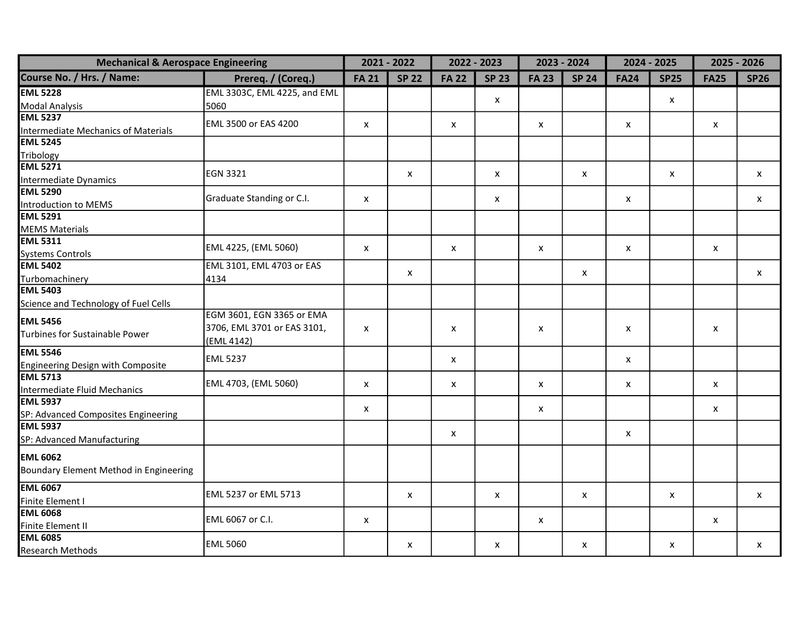| <b>Mechanical &amp; Aerospace Engineering</b>          |                              |              | $2021 - 2022$             |              | 2022 - 2023  | $2023 - 2024$ |                           |                           | $2024 - 2025$ | $2025 - 2026$ |              |
|--------------------------------------------------------|------------------------------|--------------|---------------------------|--------------|--------------|---------------|---------------------------|---------------------------|---------------|---------------|--------------|
| Course No. / Hrs. / Name:                              | Prereq. / (Coreq.)           | <b>FA 21</b> | <b>SP 22</b>              | <b>FA 22</b> | <b>SP 23</b> | <b>FA 23</b>  | <b>SP 24</b>              | <b>FA24</b>               | <b>SP25</b>   | <b>FA25</b>   | <b>SP26</b>  |
| <b>EML 5228</b>                                        | EML 3303C, EML 4225, and EML |              |                           |              |              |               |                           |                           |               |               |              |
| <b>Modal Analysis</b>                                  | 5060                         |              |                           |              | $\mathsf{x}$ |               |                           |                           | X             |               |              |
| <b>EML 5237</b>                                        | EML 3500 or EAS 4200         | X            |                           | X            |              | X             |                           | X                         |               | x             |              |
| <b>Intermediate Mechanics of Materials</b>             |                              |              |                           |              |              |               |                           |                           |               |               |              |
| <b>EML 5245</b>                                        |                              |              |                           |              |              |               |                           |                           |               |               |              |
| Tribology                                              |                              |              |                           |              |              |               |                           |                           |               |               |              |
| <b>EML 5271</b>                                        | <b>EGN 3321</b>              |              | X                         |              | X            |               | $\boldsymbol{\mathsf{x}}$ |                           | X             |               | X            |
| Intermediate Dynamics                                  |                              |              |                           |              |              |               |                           |                           |               |               |              |
| <b>EML 5290</b>                                        | Graduate Standing or C.I.    | X            |                           |              | x            |               |                           | X                         |               |               | x            |
| <b>Introduction to MEMS</b>                            |                              |              |                           |              |              |               |                           |                           |               |               |              |
| <b>EML 5291</b>                                        |                              |              |                           |              |              |               |                           |                           |               |               |              |
| <b>MEMS Materials</b>                                  |                              |              |                           |              |              |               |                           |                           |               |               |              |
| <b>EML 5311</b>                                        | EML 4225, (EML 5060)         | X            |                           | $\mathsf{x}$ |              | X             |                           | $\boldsymbol{\mathsf{x}}$ |               | X             |              |
| <b>Systems Controls</b>                                |                              |              |                           |              |              |               |                           |                           |               |               |              |
| <b>EML 5402</b>                                        | EML 3101, EML 4703 or EAS    |              | $\pmb{\mathsf{X}}$        |              |              |               | $\pmb{\mathsf{X}}$        |                           |               |               | $\mathsf{x}$ |
| Turbomachinery                                         | 4134                         |              |                           |              |              |               |                           |                           |               |               |              |
| <b>EML 5403</b>                                        |                              |              |                           |              |              |               |                           |                           |               |               |              |
| Science and Technology of Fuel Cells                   |                              |              |                           |              |              |               |                           |                           |               |               |              |
| <b>EML 5456</b>                                        | EGM 3601, EGN 3365 or EMA    |              |                           |              |              |               |                           |                           |               |               |              |
| Turbines for Sustainable Power                         | 3706, EML 3701 or EAS 3101,  | X            |                           | X            |              | X             |                           | X                         |               | X             |              |
|                                                        | (EML 4142)                   |              |                           |              |              |               |                           |                           |               |               |              |
| <b>EML 5546</b>                                        | <b>EML 5237</b>              |              |                           | X            |              |               |                           | X                         |               |               |              |
| <b>Engineering Design with Composite</b>               |                              |              |                           |              |              |               |                           |                           |               |               |              |
| <b>EML 5713</b>                                        | EML 4703, (EML 5060)         | X            |                           | X            |              | X             |                           | X                         |               | x             |              |
| Intermediate Fluid Mechanics                           |                              |              |                           |              |              |               |                           |                           |               |               |              |
| <b>EML 5937</b>                                        |                              | X            |                           |              |              | X             |                           |                           |               | X             |              |
| SP: Advanced Composites Engineering<br><b>EML 5937</b> |                              |              |                           |              |              |               |                           |                           |               |               |              |
|                                                        |                              |              |                           | X            |              |               |                           | X                         |               |               |              |
| SP: Advanced Manufacturing                             |                              |              |                           |              |              |               |                           |                           |               |               |              |
| <b>EML 6062</b>                                        |                              |              |                           |              |              |               |                           |                           |               |               |              |
| Boundary Element Method in Engineering                 |                              |              |                           |              |              |               |                           |                           |               |               |              |
| <b>EML 6067</b>                                        | EML 5237 or EML 5713         |              |                           |              |              |               |                           |                           |               |               |              |
| Finite Element I                                       |                              |              | $\boldsymbol{\mathsf{x}}$ |              | X            |               | $\pmb{\mathsf{X}}$        |                           | X             |               | $\mathsf{x}$ |
| <b>EML 6068</b>                                        | EML 6067 or C.I.             |              |                           |              |              |               |                           |                           |               |               |              |
| Finite Element II                                      |                              | X            |                           |              |              | X             |                           |                           |               | X             |              |
| <b>EML 6085</b>                                        | <b>EML 5060</b>              |              |                           |              |              |               |                           |                           |               |               |              |
| <b>Research Methods</b>                                |                              |              | X                         |              | X            |               | X                         |                           | X             |               | X            |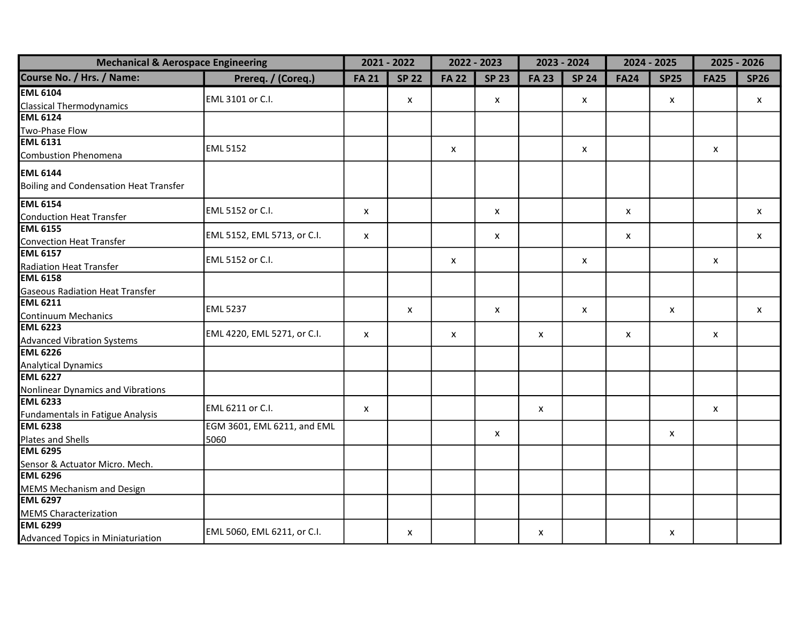| <b>Mechanical &amp; Aerospace Engineering</b> |                             |                           | $2021 - 2022$             |                           | 2022 - 2023  | 2023 - 2024               |              |                           | 2024 - 2025 | 2025 - 2026               |                           |
|-----------------------------------------------|-----------------------------|---------------------------|---------------------------|---------------------------|--------------|---------------------------|--------------|---------------------------|-------------|---------------------------|---------------------------|
| Course No. / Hrs. / Name:                     | Prereq. / (Coreq.)          | <b>FA 21</b>              | <b>SP 22</b>              | <b>FA 22</b>              | <b>SP 23</b> | <b>FA 23</b>              | <b>SP 24</b> | <b>FA24</b>               | <b>SP25</b> | <b>FA25</b>               | <b>SP26</b>               |
| <b>EML 6104</b>                               |                             |                           |                           |                           |              |                           |              |                           |             |                           |                           |
| <b>Classical Thermodynamics</b>               | EML 3101 or C.I.            |                           | X                         |                           | X            |                           | X            |                           | X           |                           | $\mathsf{x}$              |
| <b>EML 6124</b>                               |                             |                           |                           |                           |              |                           |              |                           |             |                           |                           |
| Two-Phase Flow                                |                             |                           |                           |                           |              |                           |              |                           |             |                           |                           |
| <b>EML 6131</b>                               | <b>EML 5152</b>             |                           |                           |                           |              |                           |              |                           |             |                           |                           |
| Combustion Phenomena                          |                             |                           |                           | $\boldsymbol{\mathsf{x}}$ |              |                           | X            |                           |             | $\boldsymbol{\mathsf{x}}$ |                           |
| <b>EML 6144</b>                               |                             |                           |                           |                           |              |                           |              |                           |             |                           |                           |
| Boiling and Condensation Heat Transfer        |                             |                           |                           |                           |              |                           |              |                           |             |                           |                           |
|                                               |                             |                           |                           |                           |              |                           |              |                           |             |                           |                           |
| <b>EML 6154</b>                               | EML 5152 or C.I.            | $\boldsymbol{\mathsf{x}}$ |                           |                           | X            |                           |              | $\boldsymbol{\mathsf{x}}$ |             |                           | $\boldsymbol{\mathsf{x}}$ |
| <b>Conduction Heat Transfer</b>               |                             |                           |                           |                           |              |                           |              |                           |             |                           |                           |
| <b>EML 6155</b>                               | EML 5152, EML 5713, or C.I. | X                         |                           |                           | X            |                           |              | X                         |             |                           | $\boldsymbol{\mathsf{x}}$ |
| <b>Convection Heat Transfer</b>               |                             |                           |                           |                           |              |                           |              |                           |             |                           |                           |
| <b>EML 6157</b>                               | EML 5152 or C.I.            |                           |                           | $\boldsymbol{\mathsf{x}}$ |              |                           | X            |                           |             | X                         |                           |
| <b>Radiation Heat Transfer</b>                |                             |                           |                           |                           |              |                           |              |                           |             |                           |                           |
| <b>EML 6158</b>                               |                             |                           |                           |                           |              |                           |              |                           |             |                           |                           |
| <b>Gaseous Radiation Heat Transfer</b>        |                             |                           |                           |                           |              |                           |              |                           |             |                           |                           |
| <b>EML 6211</b>                               | <b>EML 5237</b>             |                           | $\boldsymbol{\mathsf{x}}$ |                           | X            |                           | X            |                           | X           |                           | $\boldsymbol{\mathsf{x}}$ |
| <b>Continuum Mechanics</b>                    |                             |                           |                           |                           |              |                           |              |                           |             |                           |                           |
| <b>EML 6223</b>                               | EML 4220, EML 5271, or C.I. | X                         |                           | $\boldsymbol{\mathsf{x}}$ |              | $\boldsymbol{\mathsf{x}}$ |              | X                         |             | x                         |                           |
| <b>Advanced Vibration Systems</b>             |                             |                           |                           |                           |              |                           |              |                           |             |                           |                           |
| <b>EML 6226</b>                               |                             |                           |                           |                           |              |                           |              |                           |             |                           |                           |
| <b>Analytical Dynamics</b>                    |                             |                           |                           |                           |              |                           |              |                           |             |                           |                           |
| <b>EML 6227</b>                               |                             |                           |                           |                           |              |                           |              |                           |             |                           |                           |
| Nonlinear Dynamics and Vibrations             |                             |                           |                           |                           |              |                           |              |                           |             |                           |                           |
| <b>EML 6233</b>                               | EML 6211 or C.I.            | $\boldsymbol{\mathsf{x}}$ |                           |                           |              | X                         |              |                           |             | $\boldsymbol{\mathsf{x}}$ |                           |
| Fundamentals in Fatigue Analysis              |                             |                           |                           |                           |              |                           |              |                           |             |                           |                           |
| <b>EML 6238</b>                               | EGM 3601, EML 6211, and EML |                           |                           |                           | X            |                           |              |                           | X           |                           |                           |
| Plates and Shells                             | 5060                        |                           |                           |                           |              |                           |              |                           |             |                           |                           |
| <b>EML 6295</b>                               |                             |                           |                           |                           |              |                           |              |                           |             |                           |                           |
| Sensor & Actuator Micro. Mech.                |                             |                           |                           |                           |              |                           |              |                           |             |                           |                           |
| <b>EML 6296</b>                               |                             |                           |                           |                           |              |                           |              |                           |             |                           |                           |
| <b>MEMS Mechanism and Design</b>              |                             |                           |                           |                           |              |                           |              |                           |             |                           |                           |
| <b>EML 6297</b>                               |                             |                           |                           |                           |              |                           |              |                           |             |                           |                           |
| <b>MEMS Characterization</b>                  |                             |                           |                           |                           |              |                           |              |                           |             |                           |                           |
| <b>EML 6299</b>                               | EML 5060, EML 6211, or C.I. |                           | x                         |                           |              | X                         |              |                           | X           |                           |                           |
| Advanced Topics in Miniaturiation             |                             |                           |                           |                           |              |                           |              |                           |             |                           |                           |